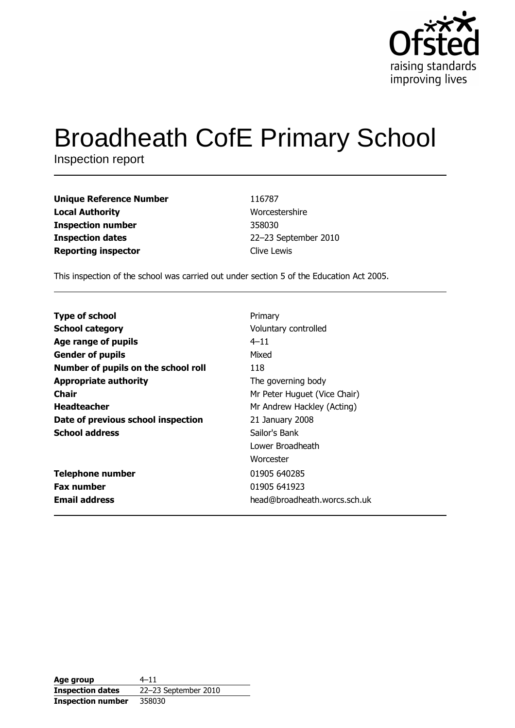

# **Broadheath CofE Primary School**

Inspection report

**Unique Reference Number Local Authority Inspection number Inspection dates Reporting inspector** 

**Email address** 

116787 Worcestershire 358030 22-23 September 2010 Clive Lewis

head@broadheath.worcs.sch.uk

This inspection of the school was carried out under section 5 of the Education Act 2005.

**Type of school** Primary **School category** Voluntary controlled Age range of pupils  $4 - 11$ **Gender of pupils** Mixed Number of pupils on the school roll 118 **Appropriate authority** The governing body **Chair** Mr Peter Huguet (Vice Chair) **Headteacher** Mr Andrew Hackley (Acting) Date of previous school inspection 21 January 2008 **School address** Sailor's Bank Lower Broadheath Worcester **Telephone number** 01905 640285 **Fax number** 01905 641923

Age group  $4 - 11$ 22-23 September 2010 **Inspection dates Inspection number** 358030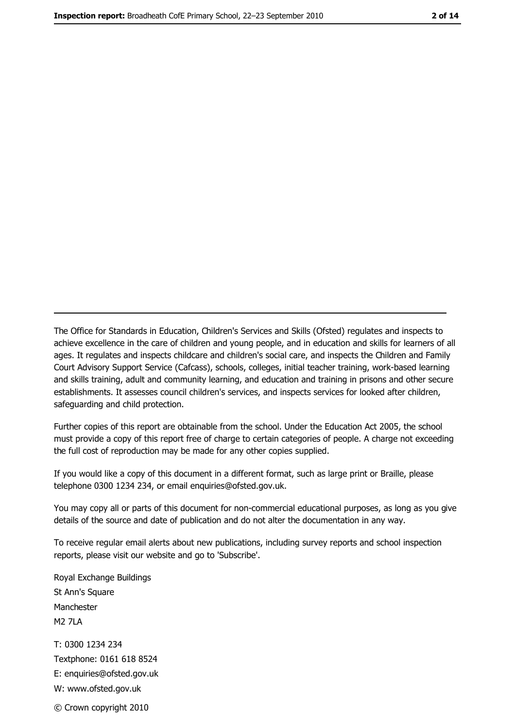The Office for Standards in Education, Children's Services and Skills (Ofsted) regulates and inspects to achieve excellence in the care of children and young people, and in education and skills for learners of all ages. It regulates and inspects childcare and children's social care, and inspects the Children and Family Court Advisory Support Service (Cafcass), schools, colleges, initial teacher training, work-based learning and skills training, adult and community learning, and education and training in prisons and other secure establishments. It assesses council children's services, and inspects services for looked after children, safeguarding and child protection.

Further copies of this report are obtainable from the school. Under the Education Act 2005, the school must provide a copy of this report free of charge to certain categories of people. A charge not exceeding the full cost of reproduction may be made for any other copies supplied.

If you would like a copy of this document in a different format, such as large print or Braille, please telephone 0300 1234 234, or email enquiries@ofsted.gov.uk.

You may copy all or parts of this document for non-commercial educational purposes, as long as you give details of the source and date of publication and do not alter the documentation in any way.

To receive regular email alerts about new publications, including survey reports and school inspection reports, please visit our website and go to 'Subscribe'.

Royal Exchange Buildings St Ann's Square Manchester **M2 7I A** T: 0300 1234 234 Textphone: 0161 618 8524 E: enquiries@ofsted.gov.uk W: www.ofsted.gov.uk © Crown copyright 2010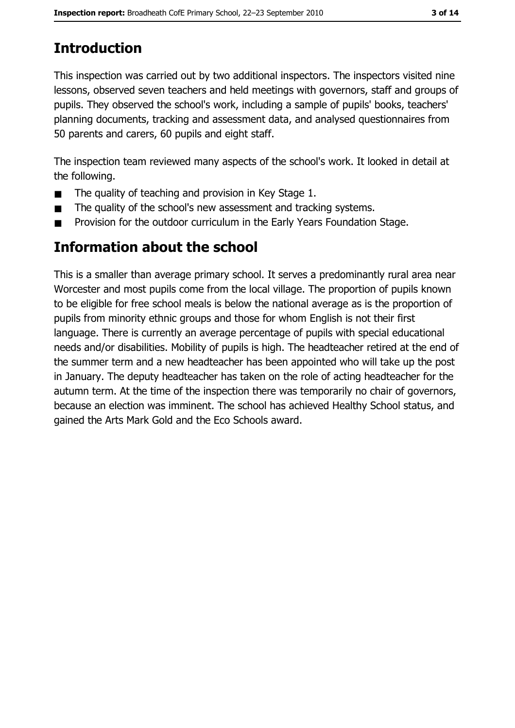## **Introduction**

This inspection was carried out by two additional inspectors. The inspectors visited nine lessons, observed seven teachers and held meetings with governors, staff and groups of pupils. They observed the school's work, including a sample of pupils' books, teachers' planning documents, tracking and assessment data, and analysed questionnaires from 50 parents and carers, 60 pupils and eight staff.

The inspection team reviewed many aspects of the school's work. It looked in detail at the following.

- The quality of teaching and provision in Key Stage 1.  $\blacksquare$
- The quality of the school's new assessment and tracking systems.  $\blacksquare$
- Provision for the outdoor curriculum in the Early Years Foundation Stage.

## **Information about the school**

This is a smaller than average primary school. It serves a predominantly rural area near Worcester and most pupils come from the local village. The proportion of pupils known to be eligible for free school meals is below the national average as is the proportion of pupils from minority ethnic groups and those for whom English is not their first language. There is currently an average percentage of pupils with special educational needs and/or disabilities. Mobility of pupils is high. The headteacher retired at the end of the summer term and a new headteacher has been appointed who will take up the post in January. The deputy headteacher has taken on the role of acting headteacher for the autumn term. At the time of the inspection there was temporarily no chair of governors, because an election was imminent. The school has achieved Healthy School status, and gained the Arts Mark Gold and the Eco Schools award.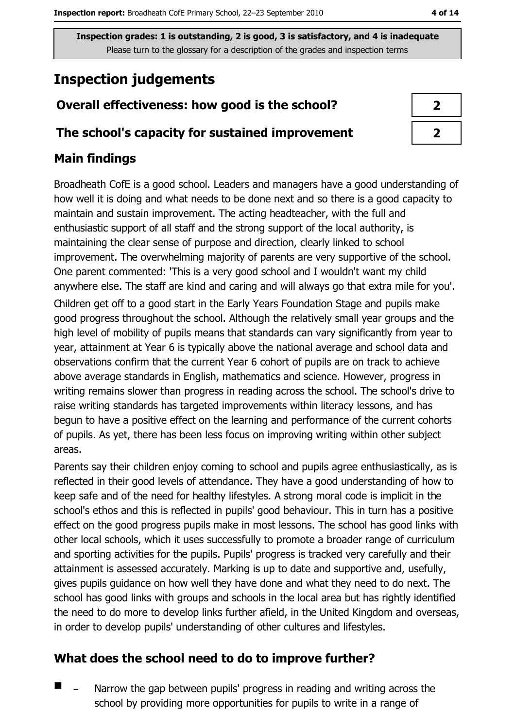Inspection grades: 1 is outstanding, 2 is good, 3 is satisfactory, and 4 is inadequate Please turn to the glossary for a description of the grades and inspection terms

## **Inspection judgements**

## Overall effectiveness: how good is the school?

#### The school's capacity for sustained improvement

## **Main findings**

Broadheath CofE is a good school. Leaders and managers have a good understanding of how well it is doing and what needs to be done next and so there is a good capacity to maintain and sustain improvement. The acting headteacher, with the full and enthusiastic support of all staff and the strong support of the local authority, is maintaining the clear sense of purpose and direction, clearly linked to school improvement. The overwhelming majority of parents are very supportive of the school. One parent commented: 'This is a very good school and I wouldn't want my child anywhere else. The staff are kind and caring and will always go that extra mile for you'. Children get off to a good start in the Early Years Foundation Stage and pupils make good progress throughout the school. Although the relatively small year groups and the high level of mobility of pupils means that standards can vary significantly from year to year, attainment at Year 6 is typically above the national average and school data and observations confirm that the current Year 6 cohort of pupils are on track to achieve above average standards in English, mathematics and science. However, progress in writing remains slower than progress in reading across the school. The school's drive to raise writing standards has targeted improvements within literacy lessons, and has begun to have a positive effect on the learning and performance of the current cohorts of pupils. As yet, there has been less focus on improving writing within other subject areas.

Parents say their children enjoy coming to school and pupils agree enthusiastically, as is reflected in their good levels of attendance. They have a good understanding of how to keep safe and of the need for healthy lifestyles. A strong moral code is implicit in the school's ethos and this is reflected in pupils' good behaviour. This in turn has a positive effect on the good progress pupils make in most lessons. The school has good links with other local schools, which it uses successfully to promote a broader range of curriculum and sporting activities for the pupils. Pupils' progress is tracked very carefully and their attainment is assessed accurately. Marking is up to date and supportive and, usefully, gives pupils quidance on how well they have done and what they need to do next. The school has good links with groups and schools in the local area but has rightly identified the need to do more to develop links further afield, in the United Kingdom and overseas, in order to develop pupils' understanding of other cultures and lifestyles.

## What does the school need to do to improve further?

 $\blacksquare$ Narrow the gap between pupils' progress in reading and writing across the school by providing more opportunities for pupils to write in a range of

| J |  |
|---|--|
| ◢ |  |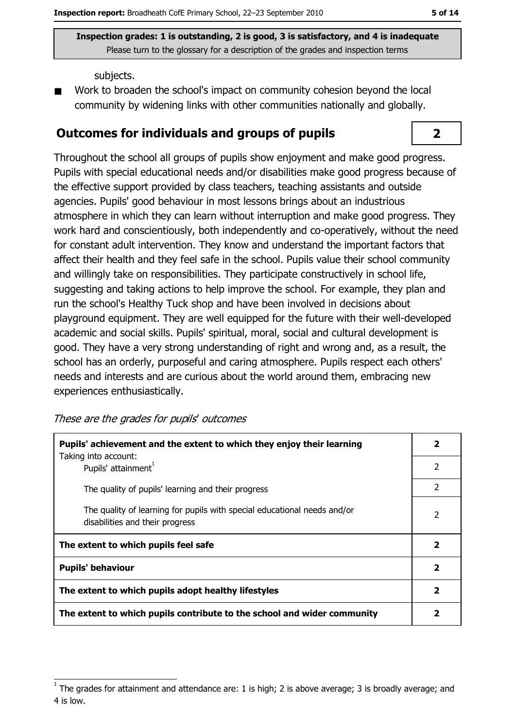$2<sup>1</sup>$ 

Inspection grades: 1 is outstanding, 2 is good, 3 is satisfactory, and 4 is inadequate Please turn to the glossary for a description of the grades and inspection terms

subjects.

Work to broaden the school's impact on community cohesion beyond the local community by widening links with other communities nationally and globally.

#### **Outcomes for individuals and groups of pupils**

Throughout the school all groups of pupils show enjoyment and make good progress. Pupils with special educational needs and/or disabilities make good progress because of the effective support provided by class teachers, teaching assistants and outside agencies. Pupils' good behaviour in most lessons brings about an industrious atmosphere in which they can learn without interruption and make good progress. They work hard and conscientiously, both independently and co-operatively, without the need for constant adult intervention. They know and understand the important factors that affect their health and they feel safe in the school. Pupils value their school community and willingly take on responsibilities. They participate constructively in school life, suggesting and taking actions to help improve the school. For example, they plan and run the school's Healthy Tuck shop and have been involved in decisions about playground equipment. They are well equipped for the future with their well-developed academic and social skills. Pupils' spiritual, moral, social and cultural development is good. They have a very strong understanding of right and wrong and, as a result, the school has an orderly, purposeful and caring atmosphere. Pupils respect each others' needs and interests and are curious about the world around them, embracing new experiences enthusiastically.

These are the grades for pupils' outcomes

| Pupils' achievement and the extent to which they enjoy their learning                                       |                          |  |
|-------------------------------------------------------------------------------------------------------------|--------------------------|--|
| Taking into account:<br>Pupils' attainment <sup>1</sup>                                                     | $\overline{\phantom{a}}$ |  |
| The quality of pupils' learning and their progress                                                          | $\overline{\phantom{a}}$ |  |
| The quality of learning for pupils with special educational needs and/or<br>disabilities and their progress | $\overline{2}$           |  |
| The extent to which pupils feel safe                                                                        |                          |  |
| <b>Pupils' behaviour</b>                                                                                    |                          |  |
| The extent to which pupils adopt healthy lifestyles                                                         |                          |  |
| The extent to which pupils contribute to the school and wider community                                     |                          |  |

The grades for attainment and attendance are: 1 is high; 2 is above average; 3 is broadly average; and 4 is low.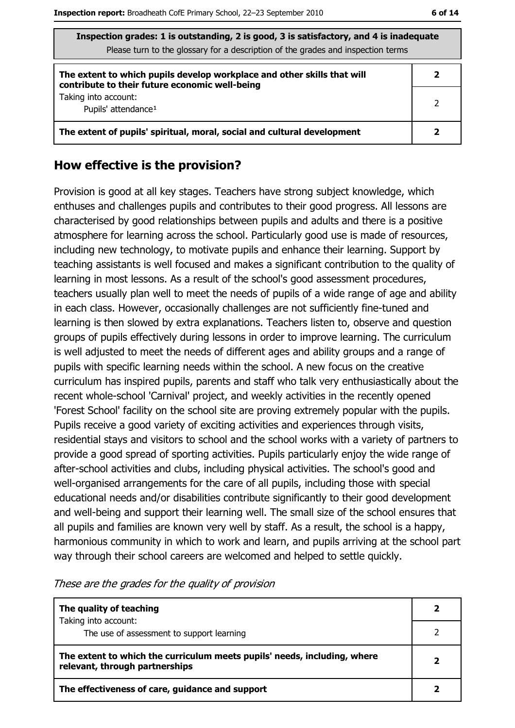| Inspection grades: 1 is outstanding, 2 is good, 3 is satisfactory, and 4 is inadequate<br>Please turn to the glossary for a description of the grades and inspection terms |   |  |
|----------------------------------------------------------------------------------------------------------------------------------------------------------------------------|---|--|
| The extent to which pupils develop workplace and other skills that will<br>contribute to their future economic well-being                                                  | 2 |  |
| Taking into account:<br>Pupils' attendance <sup>1</sup>                                                                                                                    |   |  |
| The extent of pupils' spiritual, moral, social and cultural development                                                                                                    |   |  |

#### How effective is the provision?

Provision is good at all key stages. Teachers have strong subject knowledge, which enthuses and challenges pupils and contributes to their good progress. All lessons are characterised by good relationships between pupils and adults and there is a positive atmosphere for learning across the school. Particularly good use is made of resources, including new technology, to motivate pupils and enhance their learning. Support by teaching assistants is well focused and makes a significant contribution to the quality of learning in most lessons. As a result of the school's good assessment procedures, teachers usually plan well to meet the needs of pupils of a wide range of age and ability in each class. However, occasionally challenges are not sufficiently fine-tuned and learning is then slowed by extra explanations. Teachers listen to, observe and question groups of pupils effectively during lessons in order to improve learning. The curriculum is well adjusted to meet the needs of different ages and ability groups and a range of pupils with specific learning needs within the school. A new focus on the creative curriculum has inspired pupils, parents and staff who talk very enthusiastically about the recent whole-school 'Carnival' project, and weekly activities in the recently opened 'Forest School' facility on the school site are proving extremely popular with the pupils. Pupils receive a good variety of exciting activities and experiences through visits, residential stays and visitors to school and the school works with a variety of partners to provide a good spread of sporting activities. Pupils particularly enjoy the wide range of after-school activities and clubs, including physical activities. The school's good and well-organised arrangements for the care of all pupils, including those with special educational needs and/or disabilities contribute significantly to their good development and well-being and support their learning well. The small size of the school ensures that all pupils and families are known very well by staff. As a result, the school is a happy, harmonious community in which to work and learn, and pupils arriving at the school part way through their school careers are welcomed and helped to settle quickly.

| The quality of teaching                                                                                    |  |
|------------------------------------------------------------------------------------------------------------|--|
| Taking into account:<br>The use of assessment to support learning                                          |  |
| The extent to which the curriculum meets pupils' needs, including, where<br>relevant, through partnerships |  |
| The effectiveness of care, guidance and support                                                            |  |

These are the grades for the quality of provision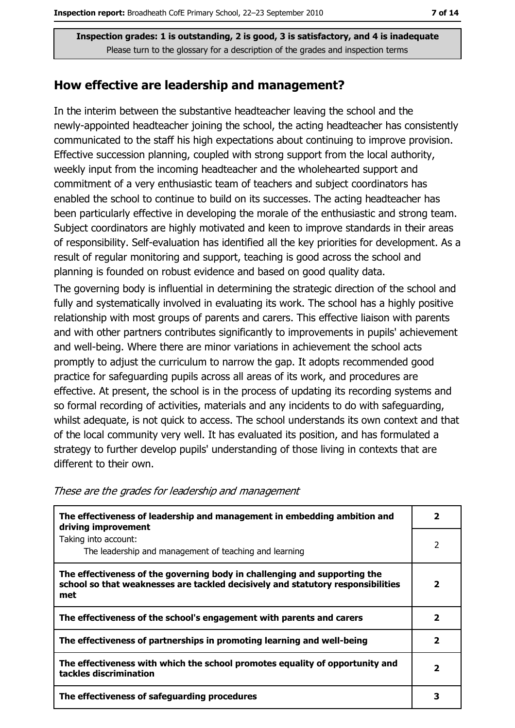Inspection grades: 1 is outstanding, 2 is good, 3 is satisfactory, and 4 is inadequate Please turn to the glossary for a description of the grades and inspection terms

#### How effective are leadership and management?

In the interim between the substantive headteacher leaving the school and the newly-appointed headteacher joining the school, the acting headteacher has consistently communicated to the staff his high expectations about continuing to improve provision. Effective succession planning, coupled with strong support from the local authority, weekly input from the incoming headteacher and the wholehearted support and commitment of a very enthusiastic team of teachers and subject coordinators has enabled the school to continue to build on its successes. The acting headteacher has been particularly effective in developing the morale of the enthusiastic and strong team. Subject coordinators are highly motivated and keen to improve standards in their areas of responsibility. Self-evaluation has identified all the key priorities for development. As a result of regular monitoring and support, teaching is good across the school and planning is founded on robust evidence and based on good quality data.

The governing body is influential in determining the strategic direction of the school and fully and systematically involved in evaluating its work. The school has a highly positive relationship with most groups of parents and carers. This effective liaison with parents and with other partners contributes significantly to improvements in pupils' achievement and well-being. Where there are minor variations in achievement the school acts promptly to adjust the curriculum to narrow the gap. It adopts recommended good practice for safeguarding pupils across all areas of its work, and procedures are effective. At present, the school is in the process of updating its recording systems and so formal recording of activities, materials and any incidents to do with safeguarding, whilst adequate, is not quick to access. The school understands its own context and that of the local community very well. It has evaluated its position, and has formulated a strategy to further develop pupils' understanding of those living in contexts that are different to their own.

| The effectiveness of leadership and management in embedding ambition and<br>driving improvement                                                                     |   |  |
|---------------------------------------------------------------------------------------------------------------------------------------------------------------------|---|--|
| Taking into account:<br>The leadership and management of teaching and learning                                                                                      | 2 |  |
| The effectiveness of the governing body in challenging and supporting the<br>school so that weaknesses are tackled decisively and statutory responsibilities<br>met | 2 |  |
| The effectiveness of the school's engagement with parents and carers                                                                                                |   |  |
| The effectiveness of partnerships in promoting learning and well-being                                                                                              |   |  |
| The effectiveness with which the school promotes equality of opportunity and<br>tackles discrimination                                                              |   |  |
| The effectiveness of safeguarding procedures                                                                                                                        |   |  |

These are the grades for leadership and management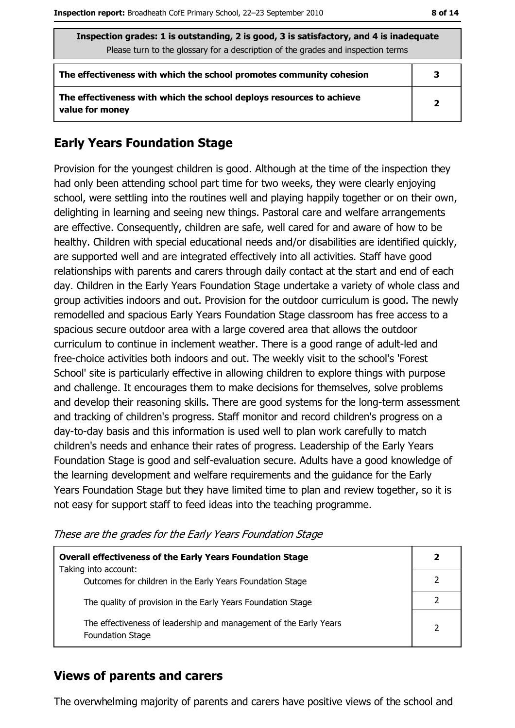| Inspection grades: 1 is outstanding, 2 is good, 3 is satisfactory, and 4 is inadequate<br>Please turn to the glossary for a description of the grades and inspection terms |   |  |  |
|----------------------------------------------------------------------------------------------------------------------------------------------------------------------------|---|--|--|
| The effectiveness with which the school promotes community cohesion                                                                                                        | 3 |  |  |
| The effectiveness with which the school deploys resources to achieve<br>$\overline{2}$<br>value for money                                                                  |   |  |  |

#### **Early Years Foundation Stage**

Provision for the youngest children is good. Although at the time of the inspection they had only been attending school part time for two weeks, they were clearly enjoying school, were settling into the routines well and playing happily together or on their own, delighting in learning and seeing new things. Pastoral care and welfare arrangements are effective. Consequently, children are safe, well cared for and aware of how to be healthy. Children with special educational needs and/or disabilities are identified quickly, are supported well and are integrated effectively into all activities. Staff have good relationships with parents and carers through daily contact at the start and end of each day. Children in the Early Years Foundation Stage undertake a variety of whole class and group activities indoors and out. Provision for the outdoor curriculum is good. The newly remodelled and spacious Early Years Foundation Stage classroom has free access to a spacious secure outdoor area with a large covered area that allows the outdoor curriculum to continue in inclement weather. There is a good range of adult-led and free-choice activities both indoors and out. The weekly visit to the school's 'Forest School' site is particularly effective in allowing children to explore things with purpose and challenge. It encourages them to make decisions for themselves, solve problems and develop their reasoning skills. There are good systems for the long-term assessment and tracking of children's progress. Staff monitor and record children's progress on a day-to-day basis and this information is used well to plan work carefully to match children's needs and enhance their rates of progress. Leadership of the Early Years Foundation Stage is good and self-evaluation secure. Adults have a good knowledge of the learning development and welfare requirements and the guidance for the Early Years Foundation Stage but they have limited time to plan and review together, so it is not easy for support staff to feed ideas into the teaching programme.

| <b>Overall effectiveness of the Early Years Foundation Stage</b><br>Taking into account:     |   |  |  |
|----------------------------------------------------------------------------------------------|---|--|--|
| Outcomes for children in the Early Years Foundation Stage                                    |   |  |  |
| The quality of provision in the Early Years Foundation Stage                                 |   |  |  |
| The effectiveness of leadership and management of the Early Years<br><b>Foundation Stage</b> | 2 |  |  |

These are the grades for the Early Years Foundation Stage

#### **Views of parents and carers**

The overwhelming majority of parents and carers have positive views of the school and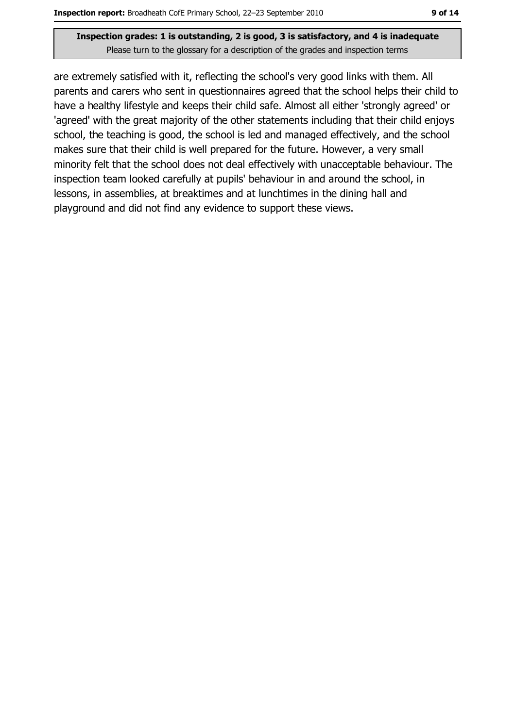#### Inspection grades: 1 is outstanding, 2 is good, 3 is satisfactory, and 4 is inadequate Please turn to the glossary for a description of the grades and inspection terms

are extremely satisfied with it, reflecting the school's very good links with them. All parents and carers who sent in questionnaires agreed that the school helps their child to have a healthy lifestyle and keeps their child safe. Almost all either 'strongly agreed' or 'agreed' with the great majority of the other statements including that their child enjoys school, the teaching is good, the school is led and managed effectively, and the school makes sure that their child is well prepared for the future. However, a very small minority felt that the school does not deal effectively with unacceptable behaviour. The inspection team looked carefully at pupils' behaviour in and around the school, in lessons, in assemblies, at breaktimes and at lunchtimes in the dining hall and playground and did not find any evidence to support these views.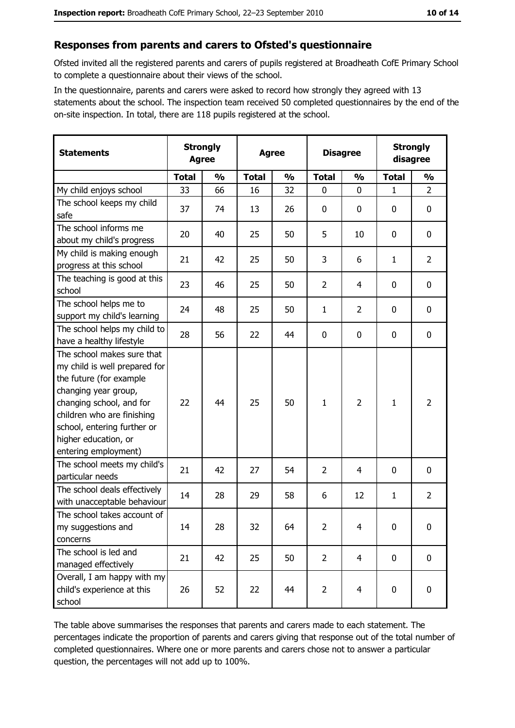#### Responses from parents and carers to Ofsted's questionnaire

Ofsted invited all the registered parents and carers of pupils registered at Broadheath CofE Primary School to complete a questionnaire about their views of the school.

In the questionnaire, parents and carers were asked to record how strongly they agreed with 13 statements about the school. The inspection team received 50 completed questionnaires by the end of the on-site inspection. In total, there are 118 pupils registered at the school.

| <b>Statements</b>                                                                                                                                                                                                                                       | <b>Strongly</b><br><b>Agree</b> |               | <b>Agree</b> |               |                | <b>Disagree</b> |              | <b>Strongly</b><br>disagree |  |
|---------------------------------------------------------------------------------------------------------------------------------------------------------------------------------------------------------------------------------------------------------|---------------------------------|---------------|--------------|---------------|----------------|-----------------|--------------|-----------------------------|--|
|                                                                                                                                                                                                                                                         | <b>Total</b>                    | $\frac{0}{0}$ | <b>Total</b> | $\frac{0}{0}$ | <b>Total</b>   | $\frac{0}{0}$   | <b>Total</b> | $\frac{0}{0}$               |  |
| My child enjoys school                                                                                                                                                                                                                                  | 33                              | 66            | 16           | 32            | $\mathbf 0$    | 0               | $\mathbf{1}$ | $\overline{2}$              |  |
| The school keeps my child<br>safe                                                                                                                                                                                                                       | 37                              | 74            | 13           | 26            | $\mathbf 0$    | 0               | 0            | 0                           |  |
| The school informs me<br>about my child's progress                                                                                                                                                                                                      | 20                              | 40            | 25           | 50            | 5              | 10              | 0            | 0                           |  |
| My child is making enough<br>progress at this school                                                                                                                                                                                                    | 21                              | 42            | 25           | 50            | 3              | 6               | 1            | $\overline{2}$              |  |
| The teaching is good at this<br>school                                                                                                                                                                                                                  | 23                              | 46            | 25           | 50            | $\overline{2}$ | 4               | 0            | $\mathbf 0$                 |  |
| The school helps me to<br>support my child's learning                                                                                                                                                                                                   | 24                              | 48            | 25           | 50            | $\mathbf{1}$   | $\overline{2}$  | 0            | 0                           |  |
| The school helps my child to<br>have a healthy lifestyle                                                                                                                                                                                                | 28                              | 56            | 22           | 44            | $\bf{0}$       | 0               | 0            | $\boldsymbol{0}$            |  |
| The school makes sure that<br>my child is well prepared for<br>the future (for example<br>changing year group,<br>changing school, and for<br>children who are finishing<br>school, entering further or<br>higher education, or<br>entering employment) | 22                              | 44            | 25           | 50            | $\mathbf{1}$   | $\overline{2}$  | 1            | $\overline{2}$              |  |
| The school meets my child's<br>particular needs                                                                                                                                                                                                         | 21                              | 42            | 27           | 54            | $\overline{2}$ | 4               | 0            | $\mathbf 0$                 |  |
| The school deals effectively<br>with unacceptable behaviour                                                                                                                                                                                             | 14                              | 28            | 29           | 58            | 6              | 12              | 1            | $\overline{2}$              |  |
| The school takes account of<br>my suggestions and<br>concerns                                                                                                                                                                                           | 14                              | 28            | 32           | 64            | $\overline{2}$ | 4               | 0            | $\boldsymbol{0}$            |  |
| The school is led and<br>managed effectively                                                                                                                                                                                                            | 21                              | 42            | 25           | 50            | $\overline{2}$ | 4               | 0            | $\mathbf 0$                 |  |
| Overall, I am happy with my<br>child's experience at this<br>school                                                                                                                                                                                     | 26                              | 52            | 22           | 44            | $\overline{2}$ | 4               | 0            | $\mathbf 0$                 |  |

The table above summarises the responses that parents and carers made to each statement. The percentages indicate the proportion of parents and carers giving that response out of the total number of completed questionnaires. Where one or more parents and carers chose not to answer a particular question, the percentages will not add up to 100%.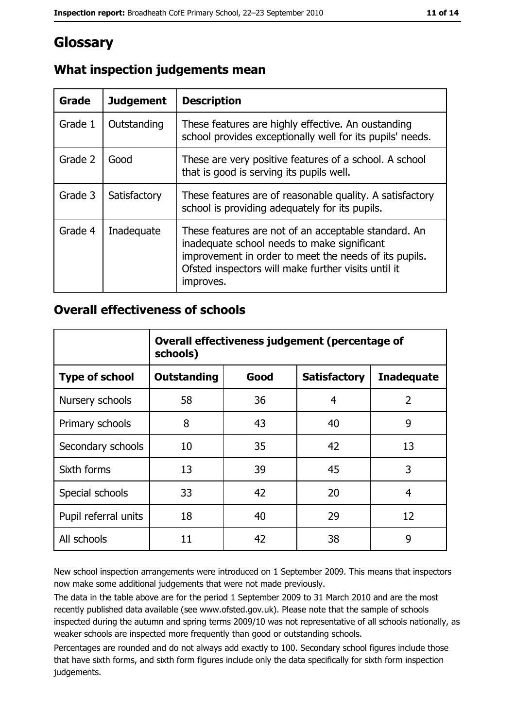## Glossary

| Grade   | <b>Judgement</b> | <b>Description</b>                                                                                                                                                                                                               |  |
|---------|------------------|----------------------------------------------------------------------------------------------------------------------------------------------------------------------------------------------------------------------------------|--|
| Grade 1 | Outstanding      | These features are highly effective. An oustanding<br>school provides exceptionally well for its pupils' needs.                                                                                                                  |  |
| Grade 2 | Good             | These are very positive features of a school. A school<br>that is good is serving its pupils well.                                                                                                                               |  |
| Grade 3 | Satisfactory     | These features are of reasonable quality. A satisfactory<br>school is providing adequately for its pupils.                                                                                                                       |  |
| Grade 4 | Inadequate       | These features are not of an acceptable standard. An<br>inadequate school needs to make significant<br>improvement in order to meet the needs of its pupils.<br>Ofsted inspectors will make further visits until it<br>improves. |  |

## What inspection judgements mean

#### **Overall effectiveness of schools**

|                       | Overall effectiveness judgement (percentage of<br>schools) |      |                     |                   |
|-----------------------|------------------------------------------------------------|------|---------------------|-------------------|
| <b>Type of school</b> | <b>Outstanding</b>                                         | Good | <b>Satisfactory</b> | <b>Inadequate</b> |
| Nursery schools       | 58                                                         | 36   | 4                   | $\overline{2}$    |
| Primary schools       | 8                                                          | 43   | 40                  | 9                 |
| Secondary schools     | 10                                                         | 35   | 42                  | 13                |
| Sixth forms           | 13                                                         | 39   | 45                  | 3                 |
| Special schools       | 33                                                         | 42   | 20                  | 4                 |
| Pupil referral units  | 18                                                         | 40   | 29                  | 12                |
| All schools           | 11                                                         | 42   | 38                  | 9                 |

New school inspection arrangements were introduced on 1 September 2009. This means that inspectors now make some additional judgements that were not made previously.

The data in the table above are for the period 1 September 2009 to 31 March 2010 and are the most recently published data available (see www.ofsted.gov.uk). Please note that the sample of schools inspected during the autumn and spring terms 2009/10 was not representative of all schools nationally, as weaker schools are inspected more frequently than good or outstanding schools.

Percentages are rounded and do not always add exactly to 100. Secondary school figures include those that have sixth forms, and sixth form figures include only the data specifically for sixth form inspection judgements.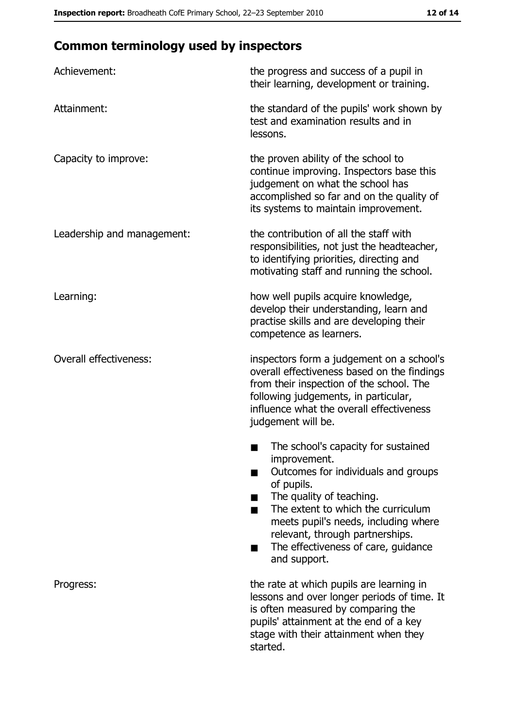## **Common terminology used by inspectors**

| Achievement:                  | the progress and success of a pupil in<br>their learning, development or training.                                                                                                                                                                                                                           |
|-------------------------------|--------------------------------------------------------------------------------------------------------------------------------------------------------------------------------------------------------------------------------------------------------------------------------------------------------------|
| Attainment:                   | the standard of the pupils' work shown by<br>test and examination results and in<br>lessons.                                                                                                                                                                                                                 |
| Capacity to improve:          | the proven ability of the school to<br>continue improving. Inspectors base this<br>judgement on what the school has<br>accomplished so far and on the quality of<br>its systems to maintain improvement.                                                                                                     |
| Leadership and management:    | the contribution of all the staff with<br>responsibilities, not just the headteacher,<br>to identifying priorities, directing and<br>motivating staff and running the school.                                                                                                                                |
| Learning:                     | how well pupils acquire knowledge,<br>develop their understanding, learn and<br>practise skills and are developing their<br>competence as learners.                                                                                                                                                          |
| <b>Overall effectiveness:</b> | inspectors form a judgement on a school's<br>overall effectiveness based on the findings<br>from their inspection of the school. The<br>following judgements, in particular,<br>influence what the overall effectiveness<br>judgement will be.                                                               |
|                               | The school's capacity for sustained<br>improvement.<br>Outcomes for individuals and groups<br>of pupils.<br>The quality of teaching.<br>The extent to which the curriculum<br>meets pupil's needs, including where<br>relevant, through partnerships.<br>The effectiveness of care, guidance<br>and support. |
| Progress:                     | the rate at which pupils are learning in<br>lessons and over longer periods of time. It<br>is often measured by comparing the<br>pupils' attainment at the end of a key<br>stage with their attainment when they<br>started.                                                                                 |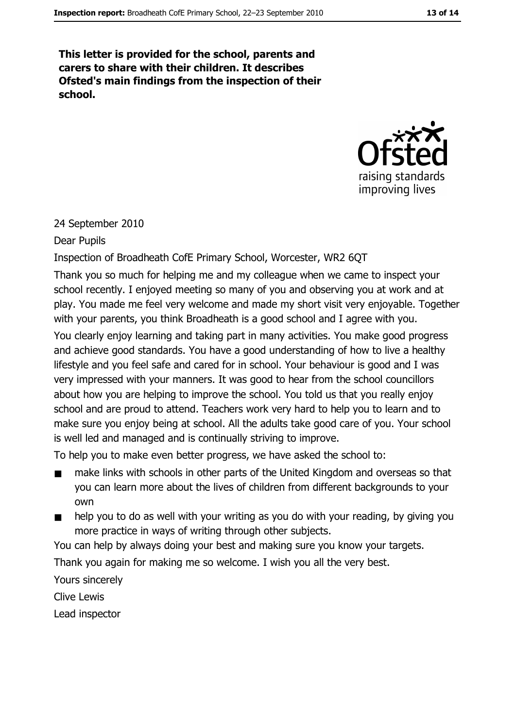This letter is provided for the school, parents and carers to share with their children. It describes Ofsted's main findings from the inspection of their school.



#### 24 September 2010

#### Dear Pupils

#### Inspection of Broadheath CofE Primary School, Worcester, WR2 6QT

Thank you so much for helping me and my colleague when we came to inspect your school recently. I enjoyed meeting so many of you and observing you at work and at play. You made me feel very welcome and made my short visit very enjoyable. Together with your parents, you think Broadheath is a good school and I agree with you.

You clearly enjoy learning and taking part in many activities. You make good progress and achieve good standards. You have a good understanding of how to live a healthy lifestyle and you feel safe and cared for in school. Your behaviour is good and I was very impressed with your manners. It was good to hear from the school councillors about how you are helping to improve the school. You told us that you really enjoy school and are proud to attend. Teachers work very hard to help you to learn and to make sure you enjoy being at school. All the adults take good care of you. Your school is well led and managed and is continually striving to improve.

To help you to make even better progress, we have asked the school to:

- make links with schools in other parts of the United Kingdom and overseas so that  $\blacksquare$ you can learn more about the lives of children from different backgrounds to your own
- help you to do as well with your writing as you do with your reading, by giving you  $\blacksquare$ more practice in ways of writing through other subjects.

You can help by always doing your best and making sure you know your targets.

Thank you again for making me so welcome. I wish you all the very best.

Yours sincerely

**Clive Lewis** 

Lead inspector